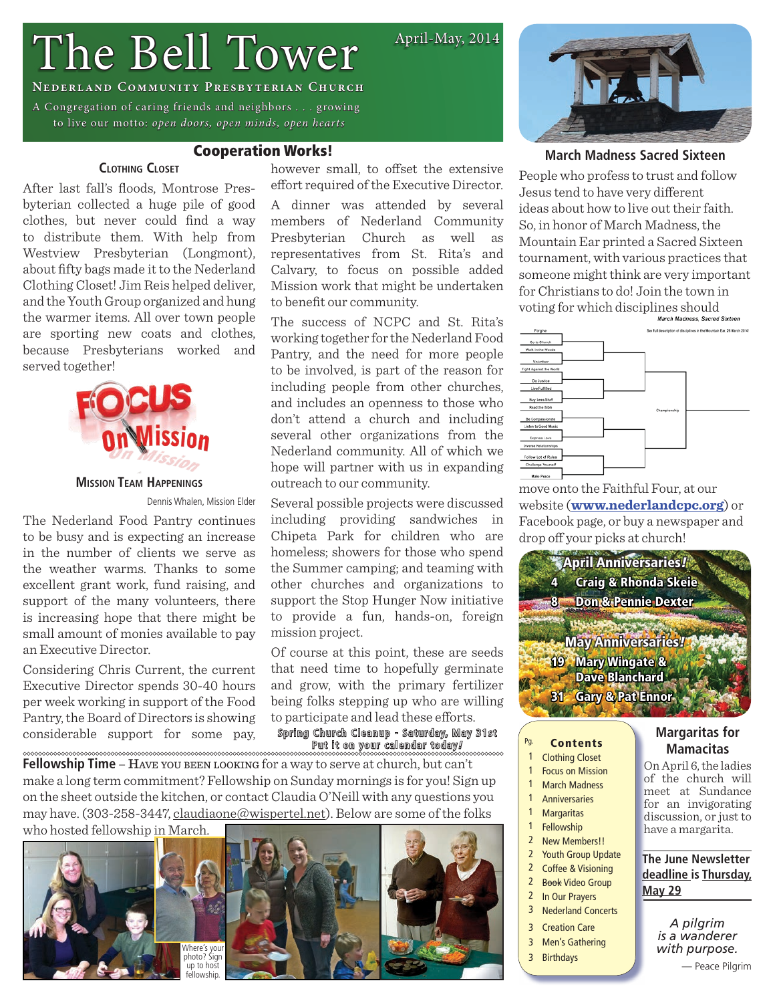# The Bell Tower

### **Nederland Community Presbyterian Church**

A Congregation of caring friends and neighbors . . . growing to live our motto: *open doors, open minds, open hearts*

### **March Madness Sacred Sixteen**

People who profess to trust and follow Jesus tend to have very different ideas about how to live out their faith. So, in honor of March Madness, the Mountain Ear printed a Sacred Sixteen tournament, with various practices that someone might think are very important for Christians to do! Join the town in voting for which disciplines should



move onto the Faithful Four, at our website (**[www.nederlandcpc.org](http://www.nederlandcpc.org)**) or Facebook page, or buy a newspaper and drop off your picks at church!



- 
- 1 Clothing Closet
- 1 Focus on Mission
- 1 March Madness
- 1 Anniversaries
- 1 Margaritas
- 1 Fellowship
- 2 New Members!!
- 2 Youth Group Update
- 2 Coffee & Visioning
- 2 Book Video Group
- 2 In Our Prayers
- 3 Nederland Concerts
- 3 Creation Care
- 3 Men's Gathering
- 

### **Margaritas for Mamacitas**

On April 6, the ladies of the church will meet at Sundance for an invigorating discussion, or just to have a margarita.

### **The June Newsletter deadline is Thursday, May 29**

*A pilgrim is a wanderer with purpose.*

— Peace Pilgrim

### Cooperation Works!

**Clothing Closet**

After last fall's floods, Montrose Presbyterian collected a huge pile of good clothes, but never could find a way to distribute them. With help from Westview Presbyterian (Longmont), about fifty bags made it to the Nederland Clothing Closet! Jim Reis helped deliver, and the Youth Group organized and hung the warmer items. All over town people are sporting new coats and clothes, because Presbyterians worked and served together!



### **Mission Team Happenings**

The Nederland Food Pantry continues to be busy and is expecting an increase in the number of clients we serve as the weather warms. Thanks to some excellent grant work, fund raising, and support of the many volunteers, there is increasing hope that there might be small amount of monies available to pay an Executive Director.

Considering Chris Current, the current Executive Director spends 30-40 hours per week working in support of the Food Pantry, the Board of Directors is showing considerable support for some pay,

**Fellowship Time** – Have you been LOOKING for a way to serve at church, but can't make a long term commitment? Fellowship on Sunday mornings is for you! Sign up on the sheet outside the kitchen, or contact Claudia O'Neill with any questions you may have. (303-258-3447, [claudiaone@wispertel.net](mailto:claudiaone@wispertel.net)). Below are some of the folks who hosted fellowship in March.









Dennis Whalen, Mission Elder

Of course at this point, these are seeds that need time to hopefully germinate and grow, with the primary fertilizer being folks stepping up who are willing to participate and lead these efforts.

Spring Church Cleanup - Saturday, May 31st Put it on your calendar today *!*

- 31 Gary & Pat Ennor
- Pg. **Contents**

 $\sim$ 

- 
- - -
		-
		-
		-
	-
	-
	-

- 
- 
- 
- 3 Birthdays

April-May, 2014

## however small, to offset the extensive effort required of the Executive Director.

A dinner was attended by several members of Nederland Community Presbyterian Church as well as representatives from St. Rita's and Calvary, to focus on possible added Mission work that might be undertaken to benefit our community.

The success of NCPC and St. Rita's working together for the Nederland Food Pantry, and the need for more people to be involved, is part of the reason for including people from other churches, and includes an openness to those who don't attend a church and including several other organizations from the Nederland community. All of which we hope will partner with us in expanding outreach to our community.

Several possible projects were discussed including providing sandwiches in Chipeta Park for children who are homeless; showers for those who spend the Summer camping; and teaming with other churches and organizations to support the Stop Hunger Now initiative to provide a fun, hands-on, foreign mission project.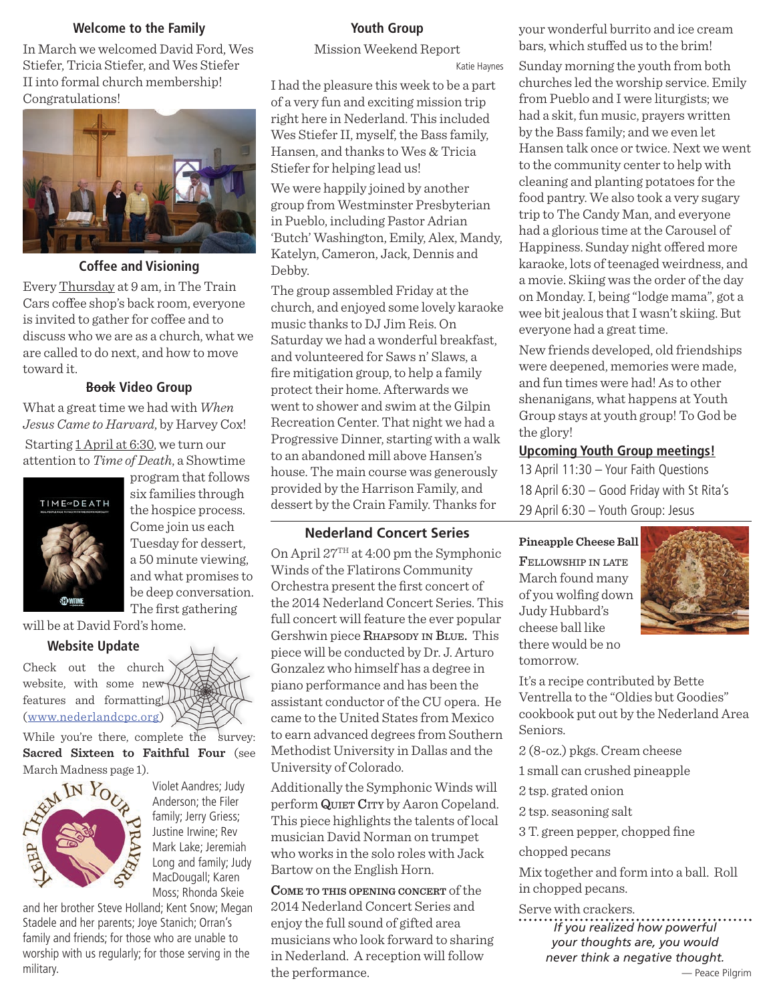### **Welcome to the Family**

In March we welcomed David Ford, Wes Stiefer, Tricia Stiefer, and Wes Stiefer II into formal church membership! Congratulations!



### **Coffee and Visioning**

Every Thursday at 9 am, in The Train Cars coffee shop's back room, everyone is invited to gather for coffee and to discuss who we are as a church, what we are called to do next, and how to move toward it.

### **Book Video Group**

What a great time we had with *When Jesus Came to Harvard*, by Harvey Cox!

 Starting 1 April at 6:30, we turn our attention to *Time of Death*, a Showtime



program that follows six families through the hospice process. Come join us each Tuesday for dessert, a 50 minute viewing, and what promises to be deep conversation. The first gathering

will be at David Ford's home.

### **Website Update**

Check out the church website, with some new features and formatting! ([www.nederlandcpc.org](http://www.nederlandcpc.org))

While you're there, complete the survey: **Sacred Sixteen to Faithful Four** (see March Madness page 1).



Violet Aandres; Judy Anderson; the Filer family; Jerry Griess; Justine Irwine; Rev Mark Lake; Jeremiah Long and family; Judy MacDougall; Karen Moss; Rhonda Skeie

and her brother Steve Holland; Kent Snow; Megan Stadele and her parents; Joye Stanich; Orran's family and friends; for those who are unable to worship with us regularly; for those serving in the military.

### **Youth Group**

Mission Weekend Report

Katie Haynes

I had the pleasure this week to be a part of a very fun and exciting mission trip right here in Nederland. This included Wes Stiefer II, myself, the Bass family, Hansen, and thanks to Wes & Tricia Stiefer for helping lead us!

We were happily joined by another group from Westminster Presbyterian in Pueblo, including Pastor Adrian 'Butch' Washington, Emily, Alex, Mandy, Katelyn, Cameron, Jack, Dennis and Debby.

The group assembled Friday at the church, and enjoyed some lovely karaoke music thanks to DJ Jim Reis. On Saturday we had a wonderful breakfast, and volunteered for Saws n' Slaws, a fire mitigation group, to help a family protect their home. Afterwards we went to shower and swim at the Gilpin Recreation Center. That night we had a Progressive Dinner, starting with a walk to an abandoned mill above Hansen's house. The main course was generously provided by the Harrison Family, and dessert by the Crain Family. Thanks for

### **Nederland Concert Series**

On April 27TH at 4:00 pm the Symphonic Winds of the Flatirons Community Orchestra present the first concert of the 2014 Nederland Concert Series. This full concert will feature the ever popular Gershwin piece RHAPSODY IN BLUE. This piece will be conducted by Dr. J. Arturo Gonzalez who himself has a degree in piano performance and has been the assistant conductor of the CU opera. He came to the United States from Mexico to earn advanced degrees from Southern Methodist University in Dallas and the University of Colorado.

Additionally the Symphonic Winds will perform QUIET CITY by Aaron Copeland. This piece highlights the talents of local musician David Norman on trumpet who works in the solo roles with Jack Bartow on the English Horn.

**Come to this opening concert** of the 2014 Nederland Concert Series and enjoy the full sound of gifted area musicians who look forward to sharing in Nederland. A reception will follow the performance.

your wonderful burrito and ice cream bars, which stuffed us to the brim!

Sunday morning the youth from both churches led the worship service. Emily from Pueblo and I were liturgists; we had a skit, fun music, prayers written by the Bass family; and we even let Hansen talk once or twice. Next we went to the community center to help with cleaning and planting potatoes for the food pantry. We also took a very sugary trip to The Candy Man, and everyone had a glorious time at the Carousel of Happiness. Sunday night offered more karaoke, lots of teenaged weirdness, and a movie. Skiing was the order of the day on Monday. I, being "lodge mama", got a wee bit jealous that I wasn't skiing. But everyone had a great time.

New friends developed, old friendships were deepened, memories were made, and fun times were had! As to other shenanigans, what happens at Youth Group stays at youth group! To God be the glory!

### **Upcoming Youth Group meetings!**

13 April 11:30 – Your Faith Questions 18 April 6:30 – Good Friday with St Rita's 29 April 6:30 – Youth Group: Jesus

**Pineapple Cheese Ball**

Fellowship in late March found many of you wolfing down Judy Hubbard's cheese ball like there would be no tomorrow.



It's a recipe contributed by Bette Ventrella to the "Oldies but Goodies" cookbook put out by the Nederland Area Seniors.

2 (8-oz.) pkgs. Cream cheese

1 small can crushed pineapple

2 tsp. grated onion

2 tsp. seasoning salt

3 T. green pepper, chopped fine

chopped pecans

Mix together and form into a ball. Roll in chopped pecans.

Serve with crackers. *If you realized how powerful your thoughts are, you would never think a negative thought.*